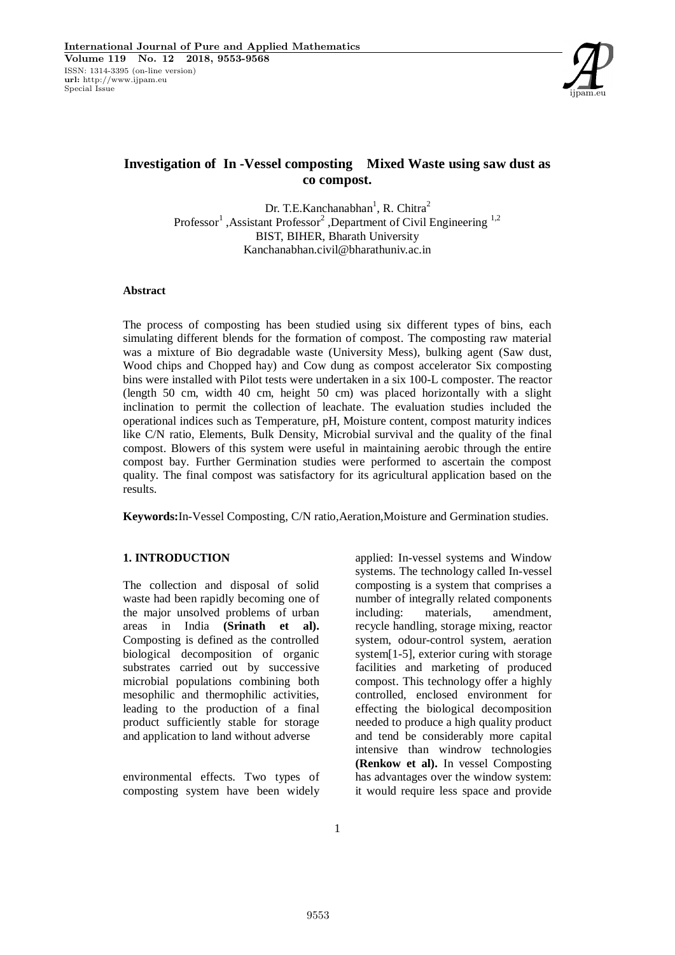

# **Investigation of In -Vessel composting Mixed Waste using saw dust as co compost.**

Dr. T.E.Kanchanabhan<sup>1</sup>, R. Chitra<sup>2</sup> Professor<sup>1</sup>, Assistant Professor<sup>2</sup>, Department of Civil Engineering<sup>1,2</sup> BIST, BIHER, Bharath University Kanchanabhan.civil@bharathuniv.ac.in

### **Abstract**

The process of composting has been studied using six different types of bins, each simulating different blends for the formation of compost. The composting raw material was a mixture of Bio degradable waste (University Mess), bulking agent (Saw dust, Wood chips and Chopped hay) and Cow dung as compost accelerator Six composting bins were installed with Pilot tests were undertaken in a six 100-L composter. The reactor (length 50 cm, width 40 cm, height 50 cm) was placed horizontally with a slight inclination to permit the collection of leachate. The evaluation studies included the operational indices such as Temperature, pH, Moisture content, compost maturity indices like C/N ratio, Elements, Bulk Density, Microbial survival and the quality of the final compost. Blowers of this system were useful in maintaining aerobic through the entire compost bay. Further Germination studies were performed to ascertain the compost quality. The final compost was satisfactory for its agricultural application based on the results.

**Keywords:**In-Vessel Composting, C/N ratio,Aeration,Moisture and Germination studies.

# **1. INTRODUCTION**

The collection and disposal of solid waste had been rapidly becoming one of the major unsolved problems of urban areas in India **(Srinath et al).**  Composting is defined as the controlled biological decomposition of organic substrates carried out by successive microbial populations combining both mesophilic and thermophilic activities, leading to the production of a final product sufficiently stable for storage and application to land without adverse

environmental effects. Two types of composting system have been widely

applied: In-vessel systems and Window systems. The technology called In-vessel composting is a system that comprises a number of integrally related components including: materials, amendment, recycle handling, storage mixing, reactor system, odour-control system, aeration system[1-5], exterior curing with storage facilities and marketing of produced compost. This technology offer a highly controlled, enclosed environment for effecting the biological decomposition needed to produce a high quality product and tend be considerably more capital intensive than windrow technologies **(Renkow et al).** In vessel Composting has advantages over the window system: it would require less space and provide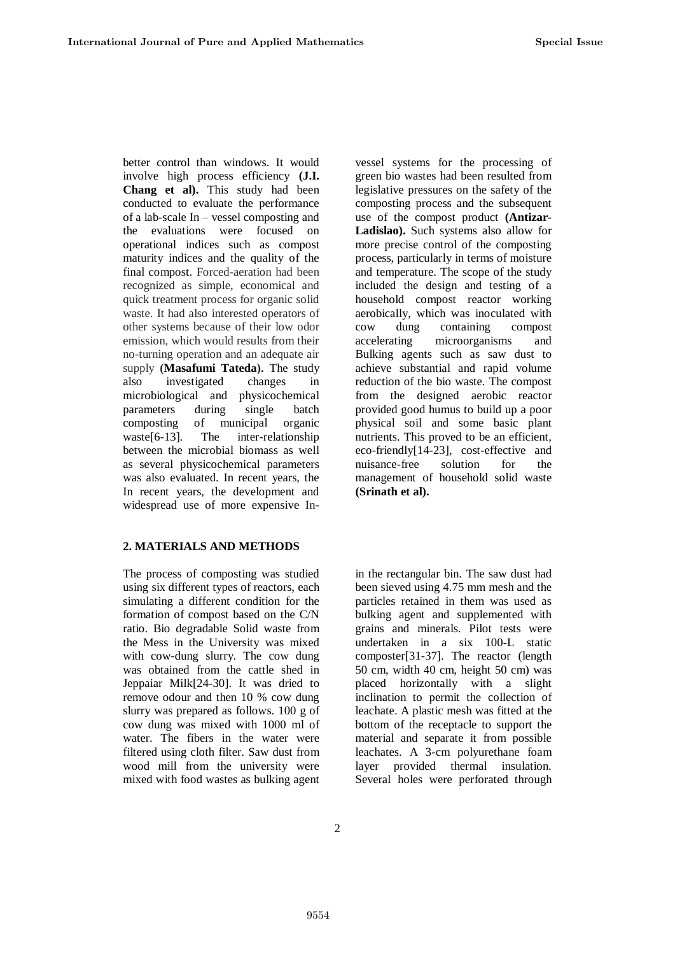better control than windows. It would involve high process efficiency **(J.I. Chang et al).** This study had been conducted to evaluate the performance of a lab-scale In – vessel composting and the evaluations were focused on operational indices such as compost maturity indices and the quality of the final compost. Forced-aeration had been recognized as simple, economical and quick treatment process for organic solid waste. It had also interested operators of other systems because of their low odor emission, which would results from their no-turning operation and an adequate air supply **(Masafumi Tateda).** The study also investigated changes in microbiological and physicochemical parameters during single batch composting of municipal organic waste<sup>[6-13]</sup>. The inter-relationship between the microbial biomass as well as several physicochemical parameters was also evaluated. In recent years, the In recent years, the development and widespread use of more expensive In-

### **2. MATERIALS AND METHODS**

The process of composting was studied using six different types of reactors, each simulating a different condition for the formation of compost based on the C/N ratio. Bio degradable Solid waste from the Mess in the University was mixed with cow-dung slurry. The cow dung was obtained from the cattle shed in Jeppaiar Milk[24-30]. It was dried to remove odour and then 10 % cow dung slurry was prepared as follows. 100 g of cow dung was mixed with 1000 ml of water. The fibers in the water were filtered using cloth filter. Saw dust from wood mill from the university were mixed with food wastes as bulking agent

vessel systems for the processing of green bio wastes had been resulted from legislative pressures on the safety of the composting process and the subsequent use of the compost product **(Antizar-Ladislao).** Such systems also allow for more precise control of the composting process, particularly in terms of moisture and temperature. The scope of the study included the design and testing of a household compost reactor working aerobically, which was inoculated with cow dung containing compost accelerating microorganisms and Bulking agents such as saw dust to achieve substantial and rapid volume reduction of the bio waste. The compost from the designed aerobic reactor provided good humus to build up a poor physical soil and some basic plant nutrients. This proved to be an efficient, eco-friendly[14-23], cost-effective and nuisance-free solution for the management of household solid waste **(Srinath et al).**

in the rectangular bin. The saw dust had been sieved using 4.75 mm mesh and the particles retained in them was used as bulking agent and supplemented with grains and minerals. Pilot tests were undertaken in a six 100-L static composter[31-37]. The reactor (length 50 cm, width 40 cm, height 50 cm) was placed horizontally with a slight inclination to permit the collection of leachate. A plastic mesh was fitted at the bottom of the receptacle to support the material and separate it from possible leachates. A 3-cm polyurethane foam layer provided thermal insulation. Several holes were perforated through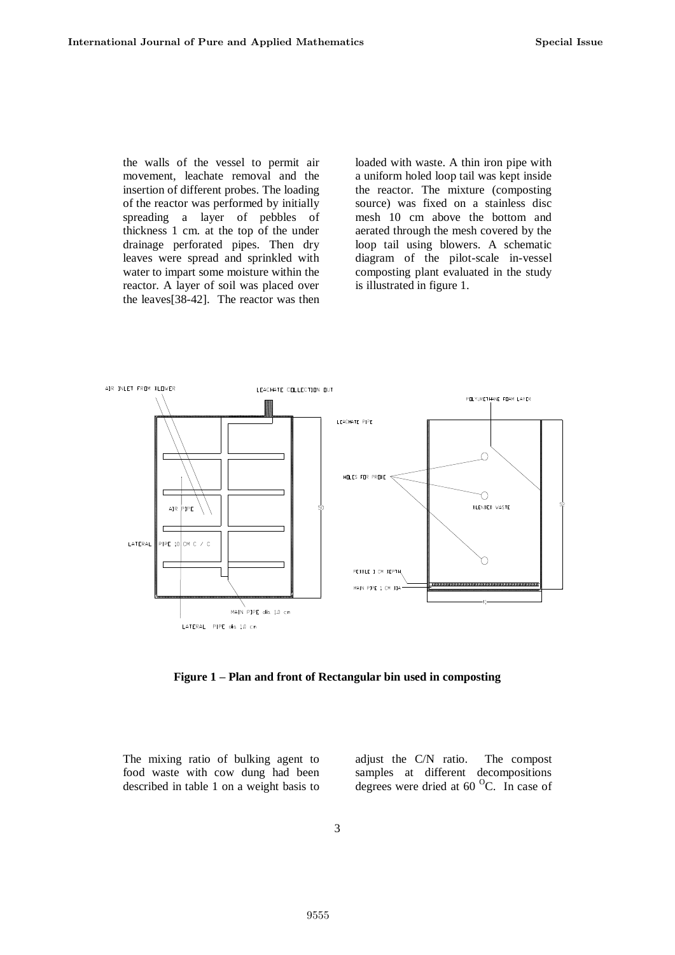the walls of the vessel to permit air movement, leachate removal and the insertion of different probes. The loading of the reactor was performed by initially spreading a layer of pebbles of thickness 1 cm. at the top of the under drainage perforated pipes. Then dry leaves were spread and sprinkled with water to impart some moisture within the reactor. A layer of soil was placed over the leaves[38-42]. The reactor was then

loaded with waste. A thin iron pipe with a uniform holed loop tail was kept inside the reactor. The mixture (composting source) was fixed on a stainless disc mesh 10 cm above the bottom and aerated through the mesh covered by the loop tail using blowers. A schematic diagram of the pilot-scale in-vessel composting plant evaluated in the study is illustrated in figure 1.



**Figure 1 – Plan and front of Rectangular bin used in composting**

The mixing ratio of bulking agent to food waste with cow dung had been described in table 1 on a weight basis to adjust the C/N ratio. The compost samples at different decompositions degrees were dried at  $60^{\circ}$ C. In case of

3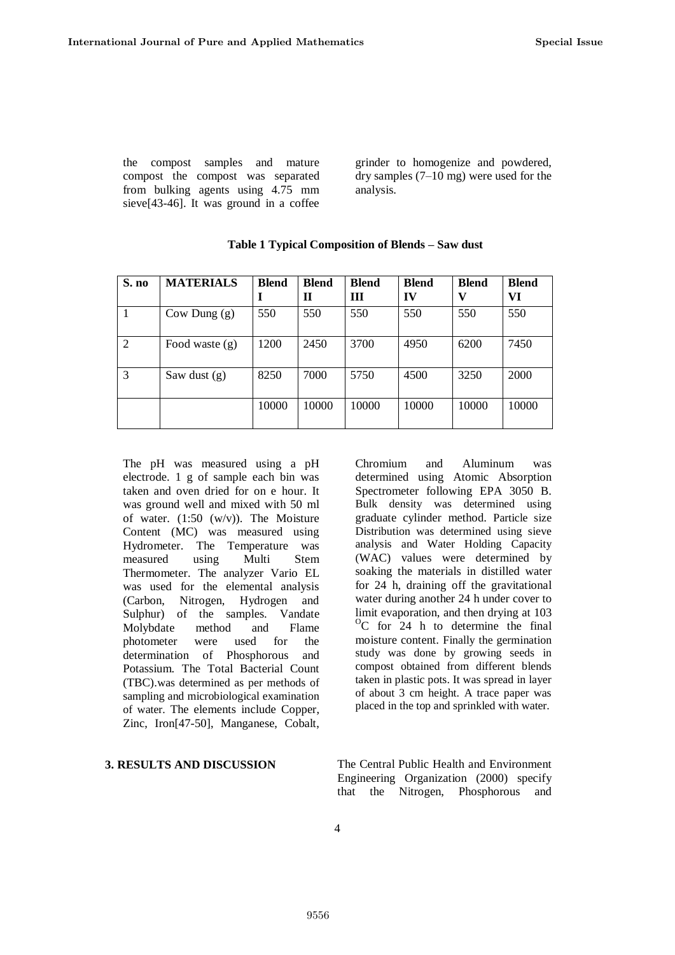the compost samples and mature compost the compost was separated from bulking agents using 4.75 mm sieve[43-46]. It was ground in a coffee

grinder to homogenize and powdered, dry samples (7–10 mg) were used for the analysis.

Chromium and Aluminum was determined using Atomic Absorption Spectrometer following EPA 3050 B. Bulk density was determined using graduate cylinder method. Particle size Distribution was determined using sieve analysis and Water Holding Capacity (WAC) values were determined by soaking the materials in distilled water for 24 h, draining off the gravitational water during another 24 h under cover to limit evaporation, and then drying at 103 <sup>O</sup>C for 24 h to determine the final moisture content. Finally the germination study was done by growing seeds in compost obtained from different blends taken in plastic pots. It was spread in layer of about 3 cm height. A trace paper was placed in the top and sprinkled with water.

| S. no          | <b>MATERIALS</b> | <b>Blend</b> | <b>Blend</b><br>П | <b>Blend</b><br>Ш | <b>Blend</b><br>IV | <b>Blend</b><br>v | <b>Blend</b><br>VI |
|----------------|------------------|--------------|-------------------|-------------------|--------------------|-------------------|--------------------|
|                | Cow Dung $(g)$   | 550          | 550               | 550               | 550                | 550               | 550                |
| $\overline{2}$ | Food waste $(g)$ | 1200         | 2450              | 3700              | 4950               | 6200              | 7450               |
| 3              | Saw dust $(g)$   | 8250         | 7000              | 5750              | 4500               | 3250              | 2000               |
|                |                  | 10000        | 10000             | 10000             | 10000              | 10000             | 10000              |

# **Table 1 Typical Composition of Blends – Saw dust**

The pH was measured using a pH electrode. 1 g of sample each bin was taken and oven dried for on e hour. It was ground well and mixed with 50 ml of water.  $(1:50 \, (w/v))$ . The Moisture Content (MC) was measured using Hydrometer. The Temperature was measured using Multi Stem Thermometer. The analyzer Vario EL was used for the elemental analysis (Carbon, Nitrogen, Hydrogen and Sulphur) of the samples. Vandate Molybdate method and Flame photometer were used for the determination of Phosphorous and Potassium. The Total Bacterial Count (TBC).was determined as per methods of sampling and microbiological examination of water. The elements include Copper, Zinc, Iron[47-50], Manganese, Cobalt,

**3. RESULTS AND DISCUSSION** The Central Public Health and Environment

Engineering Organization (2000) specify that the Nitrogen, Phosphorous and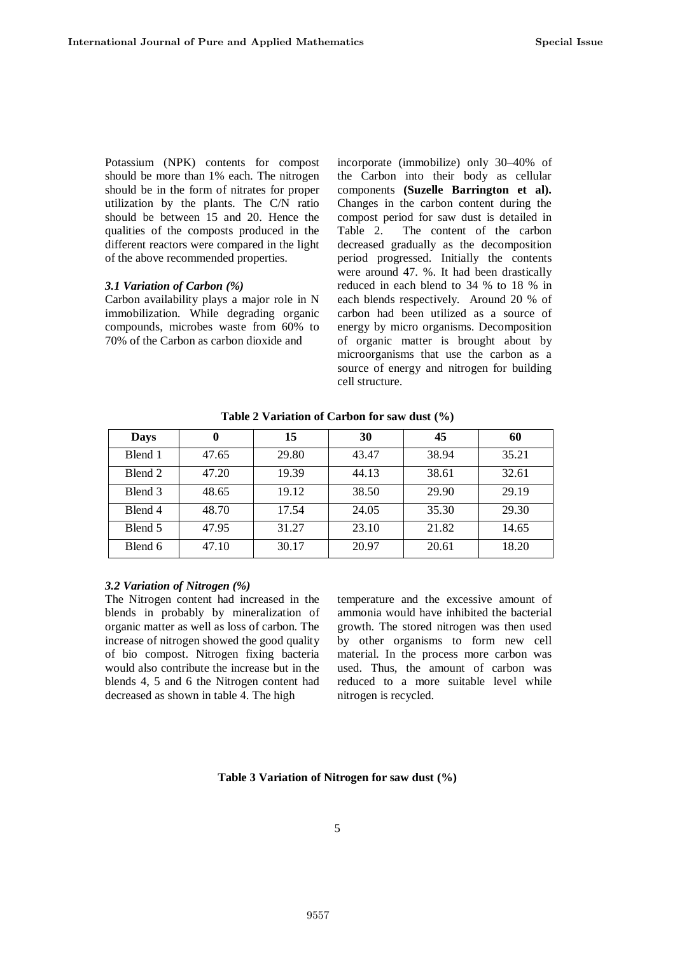Potassium (NPK) contents for compost should be more than 1% each. The nitrogen should be in the form of nitrates for proper utilization by the plants. The C/N ratio should be between 15 and 20. Hence the qualities of the composts produced in the different reactors were compared in the light of the above recommended properties.

### *3.1 Variation of Carbon (%)*

Carbon availability plays a major role in N immobilization. While degrading organic compounds, microbes waste from 60% to 70% of the Carbon as carbon dioxide and

incorporate (immobilize) only 30–40% of the Carbon into their body as cellular components **(Suzelle Barrington et al).** Changes in the carbon content during the compost period for saw dust is detailed in Table 2. The content of the carbon decreased gradually as the decomposition period progressed. Initially the contents were around 47. %. It had been drastically reduced in each blend to 34 % to 18 % in each blends respectively. Around 20 % of carbon had been utilized as a source of energy by micro organisms. Decomposition of organic matter is brought about by microorganisms that use the carbon as a source of energy and nitrogen for building cell structure.

| <b>Days</b> | U     | 15    | 30    | 45    | 60    |
|-------------|-------|-------|-------|-------|-------|
| Blend 1     | 47.65 | 29.80 | 43.47 | 38.94 | 35.21 |
| Blend 2     | 47.20 | 19.39 | 44.13 | 38.61 | 32.61 |
| Blend 3     | 48.65 | 19.12 | 38.50 | 29.90 | 29.19 |
| Blend 4     | 48.70 | 17.54 | 24.05 | 35.30 | 29.30 |
| Blend 5     | 47.95 | 31.27 | 23.10 | 21.82 | 14.65 |
| Blend 6     | 47.10 | 30.17 | 20.97 | 20.61 | 18.20 |

**Table 2 Variation of Carbon for saw dust (%)**

### *3.2 Variation of Nitrogen (%)*

The Nitrogen content had increased in the blends in probably by mineralization of organic matter as well as loss of carbon. The increase of nitrogen showed the good quality of bio compost. Nitrogen fixing bacteria would also contribute the increase but in the blends 4, 5 and 6 the Nitrogen content had decreased as shown in table 4. The high

temperature and the excessive amount of ammonia would have inhibited the bacterial growth. The stored nitrogen was then used by other organisms to form new cell material. In the process more carbon was used. Thus, the amount of carbon was reduced to a more suitable level while nitrogen is recycled.

**Table 3 Variation of Nitrogen for saw dust (%)**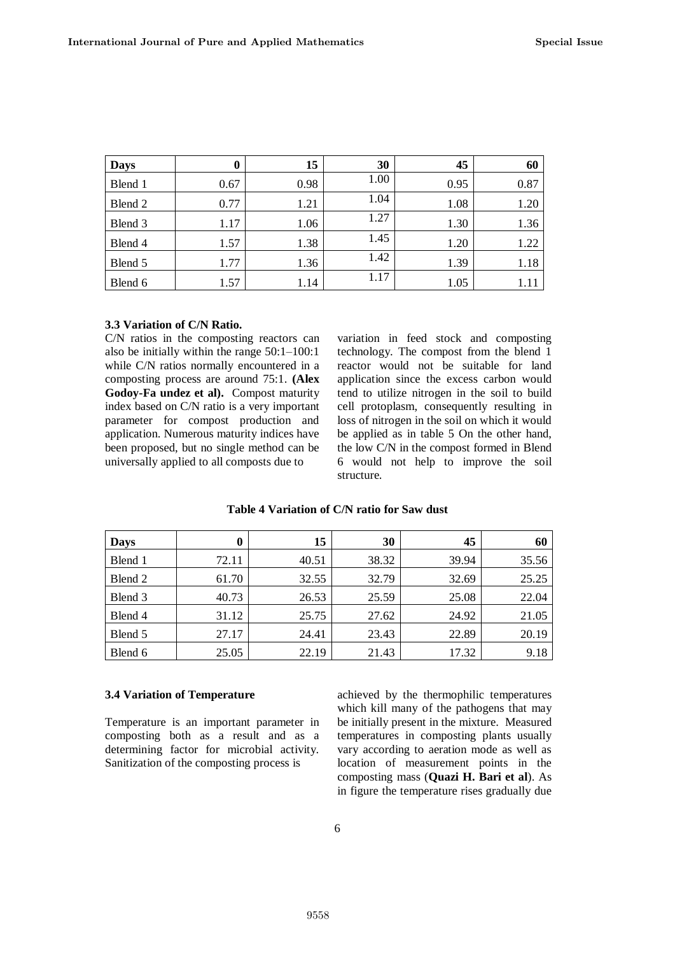| <b>Days</b> | $\bf{0}$ | 15   | 30   | 45   | 60   |
|-------------|----------|------|------|------|------|
| Blend 1     | 0.67     | 0.98 | 1.00 | 0.95 | 0.87 |
| Blend 2     | 0.77     | 1.21 | 1.04 | 1.08 | 1.20 |
| Blend 3     | 1.17     | 1.06 | 1.27 | 1.30 | 1.36 |
| Blend 4     | 1.57     | 1.38 | 1.45 | 1.20 | 1.22 |
| Blend 5     | 1.77     | 1.36 | 1.42 | 1.39 | 1.18 |
| Blend 6     | 1.57     | 1.14 | 1.17 | 1.05 | 1.11 |

# **3.3 Variation of C/N Ratio.**

C/N ratios in the composting reactors can also be initially within the range 50:1–100:1 while C/N ratios normally encountered in a composting process are around 75:1. **(Alex Godoy-Fa undez et al).** Compost maturity index based on C/N ratio is a very important parameter for compost production and application. Numerous maturity indices have been proposed, but no single method can be universally applied to all composts due to

variation in feed stock and composting technology. The compost from the blend 1 reactor would not be suitable for land application since the excess carbon would tend to utilize nitrogen in the soil to build cell protoplasm, consequently resulting in loss of nitrogen in the soil on which it would be applied as in table 5 On the other hand, the low C/N in the compost formed in Blend 6 would not help to improve the soil structure.

| <b>Days</b> | $\boldsymbol{0}$ | 15    | 30    | 45    | 60    |
|-------------|------------------|-------|-------|-------|-------|
| Blend 1     | 72.11            | 40.51 | 38.32 | 39.94 | 35.56 |
| Blend 2     | 61.70            | 32.55 | 32.79 | 32.69 | 25.25 |
| Blend 3     | 40.73            | 26.53 | 25.59 | 25.08 | 22.04 |
| Blend 4     | 31.12            | 25.75 | 27.62 | 24.92 | 21.05 |
| Blend 5     | 27.17            | 24.41 | 23.43 | 22.89 | 20.19 |
| Blend 6     | 25.05            | 22.19 | 21.43 | 17.32 | 9.18  |

### **Table 4 Variation of C/N ratio for Saw dust**

#### **3.4 Variation of Temperature**

Temperature is an important parameter in composting both as a result and as a determining factor for microbial activity. Sanitization of the composting process is

achieved by the thermophilic temperatures which kill many of the pathogens that may be initially present in the mixture. Measured temperatures in composting plants usually vary according to aeration mode as well as location of measurement points in the composting mass (**Quazi H. Bari et al**). As in figure the temperature rises gradually due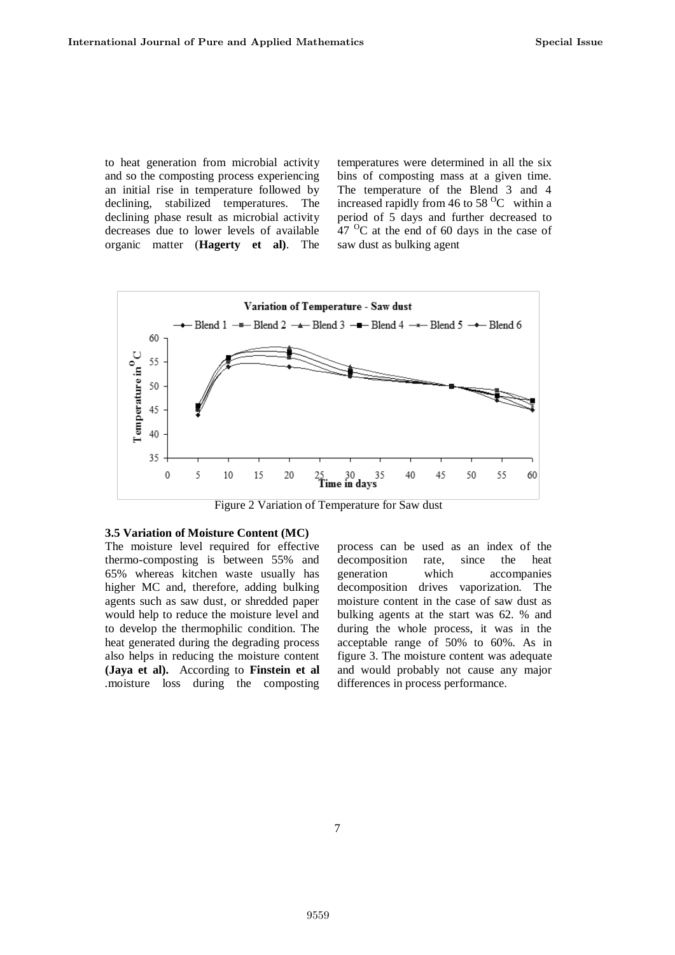to heat generation from microbial activity and so the composting process experiencing an initial rise in temperature followed by declining, stabilized temperatures. The declining phase result as microbial activity decreases due to lower levels of available organic matter (**Hagerty et al)**. The temperatures were determined in all the six bins of composting mass at a given time. The temperature of the Blend 3 and 4 increased rapidly from 46 to 58  $^{\circ}$ C within a period of 5 days and further decreased to  $47 \text{ °C}$  at the end of 60 days in the case of saw dust as bulking agent



Figure 2 Variation of Temperature for Saw dust

### **3.5 Variation of Moisture Content (MC)**

The moisture level required for effective thermo-composting is between 55% and 65% whereas kitchen waste usually has higher MC and, therefore, adding bulking agents such as saw dust, or shredded paper would help to reduce the moisture level and to develop the thermophilic condition. The heat generated during the degrading process also helps in reducing the moisture content **(Jaya et al).** According to **Finstein et al** *.*moisture loss during the composting

process can be used as an index of the decomposition rate, since the heat generation which accompanies decomposition drives vaporization. The moisture content in the case of saw dust as bulking agents at the start was 62. % and during the whole process, it was in the acceptable range of 50% to 60%. As in figure 3. The moisture content was adequate and would probably not cause any major differences in process performance.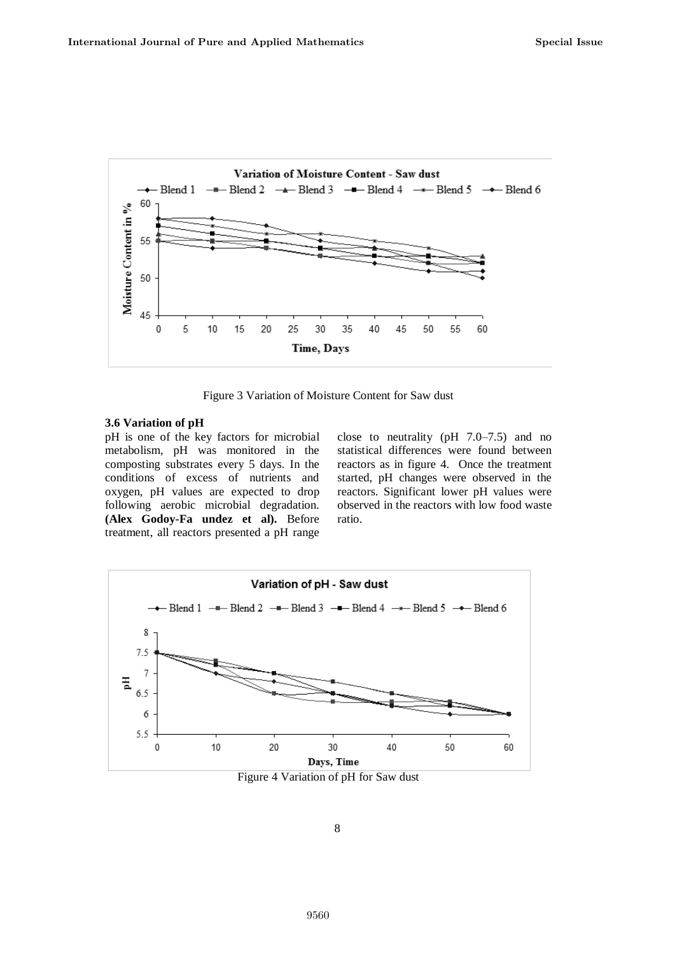

Figure 3 Variation of Moisture Content for Saw dust

### **3.6 Variation of pH**

pH is one of the key factors for microbial metabolism, pH was monitored in the composting substrates every 5 days. In the conditions of excess of nutrients and oxygen, pH values are expected to drop following aerobic microbial degradation. **(Alex Godoy-Fa undez et al).** Before treatment, all reactors presented a pH range

close to neutrality (pH 7.0–7.5) and no statistical differences were found between reactors as in figure 4. Once the treatment started, pH changes were observed in the reactors. Significant lower pH values were observed in the reactors with low food waste ratio.



Figure 4 Variation of pH for Saw dust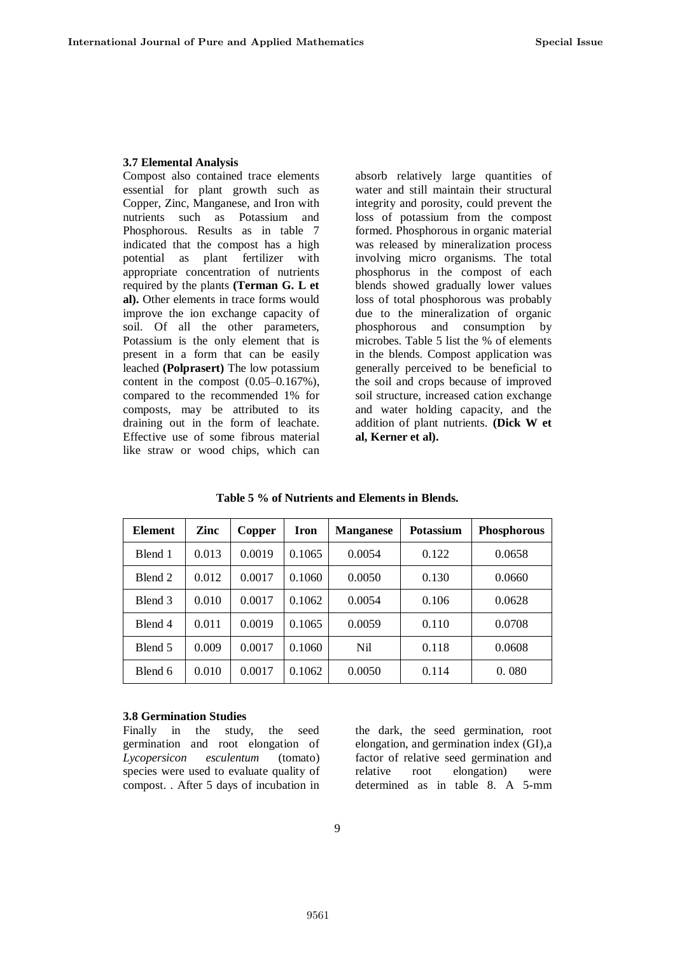### **3.7 Elemental Analysis**

Compost also contained trace elements essential for plant growth such as Copper, Zinc, Manganese, and Iron with nutrients such as Potassium and Phosphorous. Results as in table 7 indicated that the compost has a high potential as plant fertilizer with appropriate concentration of nutrients required by the plants **(Terman G. L et al).** Other elements in trace forms would improve the ion exchange capacity of soil. Of all the other parameters, Potassium is the only element that is present in a form that can be easily leached **(Polprasert)** The low potassium content in the compost (0.05–0.167%), compared to the recommended 1% for composts, may be attributed to its draining out in the form of leachate. Effective use of some fibrous material like straw or wood chips, which can

absorb relatively large quantities of water and still maintain their structural integrity and porosity, could prevent the loss of potassium from the compost formed. Phosphorous in organic material was released by mineralization process involving micro organisms. The total phosphorus in the compost of each blends showed gradually lower values loss of total phosphorous was probably due to the mineralization of organic phosphorous and consumption by microbes. Table 5 list the % of elements in the blends. Compost application was generally perceived to be beneficial to the soil and crops because of improved soil structure, increased cation exchange and water holding capacity, and the addition of plant nutrients. **(Dick W et al, Kerner et al).**

| Element | Zinc  | Copper | Iron   | <b>Manganese</b> | <b>Potassium</b> | <b>Phosphorous</b> |
|---------|-------|--------|--------|------------------|------------------|--------------------|
| Blend 1 | 0.013 | 0.0019 | 0.1065 | 0.0054           | 0.122            | 0.0658             |
| Blend 2 | 0.012 | 0.0017 | 0.1060 | 0.0050           | 0.130            | 0.0660             |
| Blend 3 | 0.010 | 0.0017 | 0.1062 | 0.0054           | 0.106            | 0.0628             |
| Blend 4 | 0.011 | 0.0019 | 0.1065 | 0.0059           | 0.110            | 0.0708             |
| Blend 5 | 0.009 | 0.0017 | 0.1060 | N <sub>il</sub>  | 0.118            | 0.0608             |
| Blend 6 | 0.010 | 0.0017 | 0.1062 | 0.0050           | 0.114            | 0.080              |

**Table 5 % of Nutrients and Elements in Blends.**

#### **3.8 Germination Studies**

Finally in the study, the seed germination and root elongation of *Lycopersicon esculentum* (tomato) species were used to evaluate quality of compost. . After 5 days of incubation in the dark, the seed germination, root elongation, and germination index (GI),a factor of relative seed germination and relative root elongation) were determined as in table 8. A 5-mm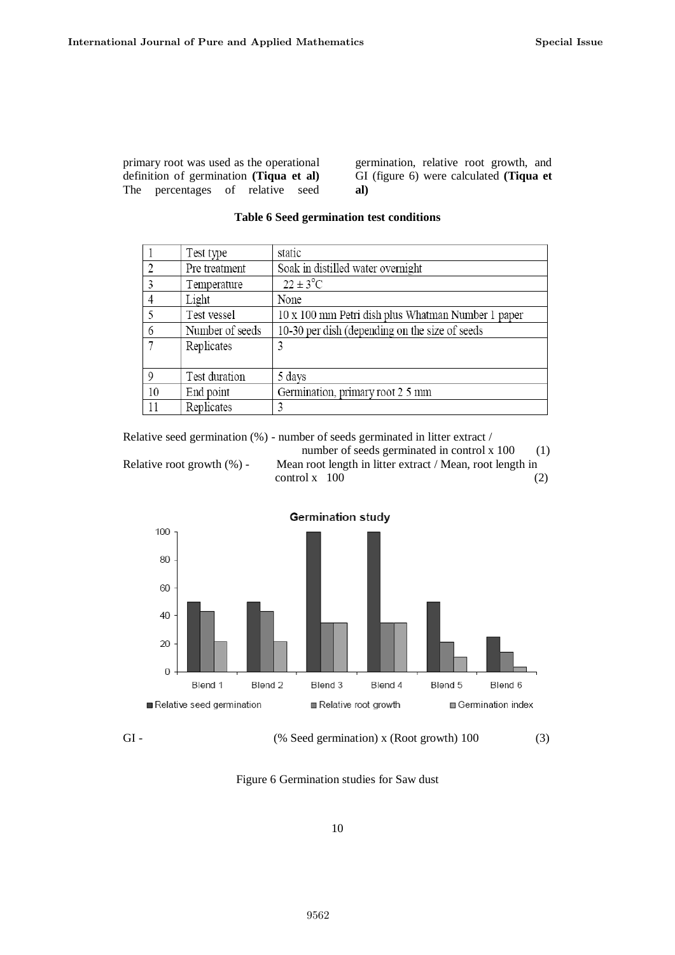primary root was used as the operational definition of germination **(Tiqua et al)** The percentages of relative seed

germination, relative root growth, and GI (figure 6) were calculated **(Tiqua et al)**

|    | Test type       | static                                             |
|----|-----------------|----------------------------------------------------|
| 2  | Pre treatment   | Soak in distilled water overnight                  |
| 3  | Temperature     | $22 \pm 3^{\circ}$ C                               |
| 4  | Light           | None                                               |
| 5  | Test vessel     | 10 x 100 mm Petri dish plus Whatman Number 1 paper |
| 6  | Number of seeds | 10-30 per dish (depending on the size of seeds     |
|    | Replicates      | 3                                                  |
|    |                 |                                                    |
| 9  | Test duration   | 5 days                                             |
| 10 | End point       | Germination, primary root 2 5 mm                   |
| 11 | Replicates      | 3                                                  |

# **Table 6 Seed germination test conditions**

Relative seed germination (%) - number of seeds germinated in litter extract /

number of seeds germinated in control x 100 (1) Relative root growth (%) - Mean root length in litter extract / Mean, root length in  $control x 100$  (2)



GI - (% Seed germination) x (Root growth) 100 (3)

Figure 6 Germination studies for Saw dust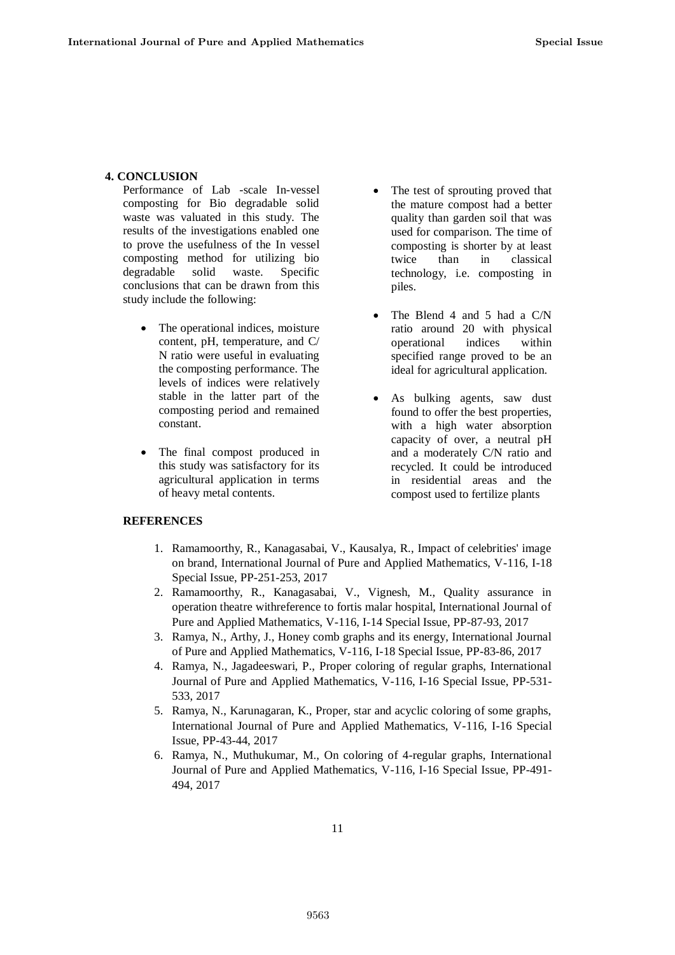# **4. CONCLUSION**

Performance of Lab -scale In-vessel composting for Bio degradable solid waste was valuated in this study. The results of the investigations enabled one to prove the usefulness of the In vessel composting method for utilizing bio degradable solid waste. Specific conclusions that can be drawn from this study include the following:

- The operational indices, moisture content, pH, temperature, and C/ N ratio were useful in evaluating the composting performance. The levels of indices were relatively stable in the latter part of the composting period and remained constant.
- The final compost produced in this study was satisfactory for its agricultural application in terms of heavy metal contents.
- The test of sprouting proved that the mature compost had a better quality than garden soil that was used for comparison. The time of composting is shorter by at least twice than in classical technology, i.e. composting in piles.
- The Blend 4 and 5 had a C/N ratio around 20 with physical operational indices within specified range proved to be an ideal for agricultural application.
- As bulking agents, saw dust found to offer the best properties, with a high water absorption capacity of over, a neutral pH and a moderately C/N ratio and recycled. It could be introduced in residential areas and the compost used to fertilize plants

# **REFERENCES**

- 1. Ramamoorthy, R., Kanagasabai, V., Kausalya, R., Impact of celebrities' image on brand, International Journal of Pure and Applied Mathematics, V-116, I-18 Special Issue, PP-251-253, 2017
- 2. Ramamoorthy, R., Kanagasabai, V., Vignesh, M., Quality assurance in operation theatre withreference to fortis malar hospital, International Journal of Pure and Applied Mathematics, V-116, I-14 Special Issue, PP-87-93, 2017
- 3. Ramya, N., Arthy, J., Honey comb graphs and its energy, International Journal of Pure and Applied Mathematics, V-116, I-18 Special Issue, PP-83-86, 2017
- 4. Ramya, N., Jagadeeswari, P., Proper coloring of regular graphs, International Journal of Pure and Applied Mathematics, V-116, I-16 Special Issue, PP-531- 533, 2017
- 5. Ramya, N., Karunagaran, K., Proper, star and acyclic coloring of some graphs, International Journal of Pure and Applied Mathematics, V-116, I-16 Special Issue, PP-43-44, 2017
- 6. Ramya, N., Muthukumar, M., On coloring of 4-regular graphs, International Journal of Pure and Applied Mathematics, V-116, I-16 Special Issue, PP-491- 494, 2017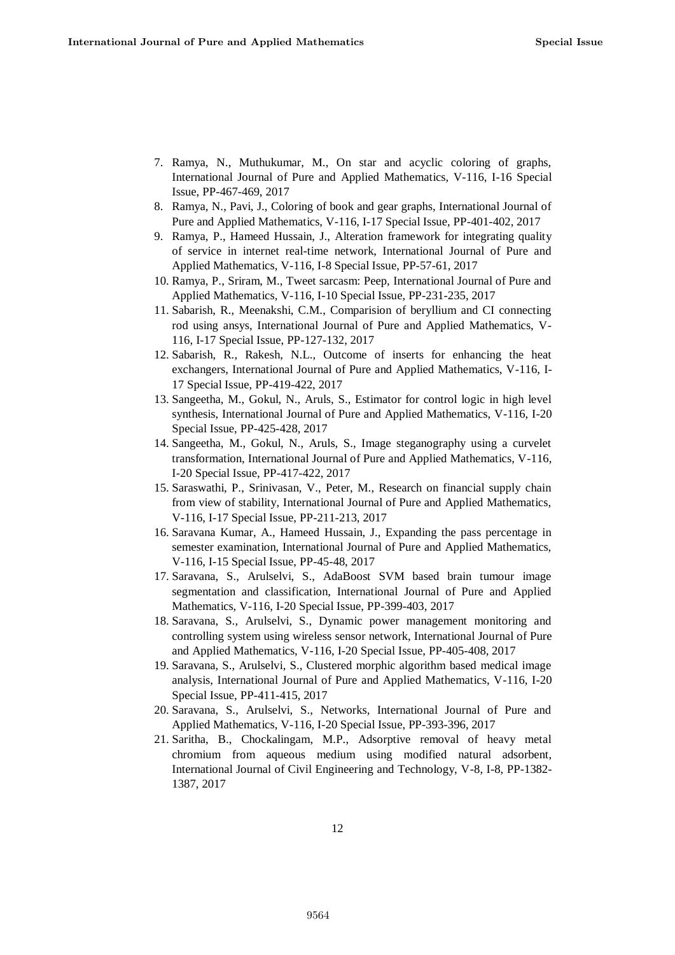- 7. Ramya, N., Muthukumar, M., On star and acyclic coloring of graphs, International Journal of Pure and Applied Mathematics, V-116, I-16 Special Issue, PP-467-469, 2017
- 8. Ramya, N., Pavi, J., Coloring of book and gear graphs, International Journal of Pure and Applied Mathematics, V-116, I-17 Special Issue, PP-401-402, 2017
- 9. Ramya, P., Hameed Hussain, J., Alteration framework for integrating quality of service in internet real-time network, International Journal of Pure and Applied Mathematics, V-116, I-8 Special Issue, PP-57-61, 2017
- 10. Ramya, P., Sriram, M., Tweet sarcasm: Peep, International Journal of Pure and Applied Mathematics, V-116, I-10 Special Issue, PP-231-235, 2017
- 11. Sabarish, R., Meenakshi, C.M., Comparision of beryllium and CI connecting rod using ansys, International Journal of Pure and Applied Mathematics, V-116, I-17 Special Issue, PP-127-132, 2017
- 12. Sabarish, R., Rakesh, N.L., Outcome of inserts for enhancing the heat exchangers, International Journal of Pure and Applied Mathematics, V-116, I-17 Special Issue, PP-419-422, 2017
- 13. Sangeetha, M., Gokul, N., Aruls, S., Estimator for control logic in high level synthesis, International Journal of Pure and Applied Mathematics, V-116, I-20 Special Issue, PP-425-428, 2017
- 14. Sangeetha, M., Gokul, N., Aruls, S., Image steganography using a curvelet transformation, International Journal of Pure and Applied Mathematics, V-116, I-20 Special Issue, PP-417-422, 2017
- 15. Saraswathi, P., Srinivasan, V., Peter, M., Research on financial supply chain from view of stability, International Journal of Pure and Applied Mathematics, V-116, I-17 Special Issue, PP-211-213, 2017
- 16. Saravana Kumar, A., Hameed Hussain, J., Expanding the pass percentage in semester examination, International Journal of Pure and Applied Mathematics, V-116, I-15 Special Issue, PP-45-48, 2017
- 17. Saravana, S., Arulselvi, S., AdaBoost SVM based brain tumour image segmentation and classification, International Journal of Pure and Applied Mathematics, V-116, I-20 Special Issue, PP-399-403, 2017
- 18. Saravana, S., Arulselvi, S., Dynamic power management monitoring and controlling system using wireless sensor network, International Journal of Pure and Applied Mathematics, V-116, I-20 Special Issue, PP-405-408, 2017
- 19. Saravana, S., Arulselvi, S., Clustered morphic algorithm based medical image analysis, International Journal of Pure and Applied Mathematics, V-116, I-20 Special Issue, PP-411-415, 2017
- 20. Saravana, S., Arulselvi, S., Networks, International Journal of Pure and Applied Mathematics, V-116, I-20 Special Issue, PP-393-396, 2017
- 21. Saritha, B., Chockalingam, M.P., Adsorptive removal of heavy metal chromium from aqueous medium using modified natural adsorbent, International Journal of Civil Engineering and Technology, V-8, I-8, PP-1382- 1387, 2017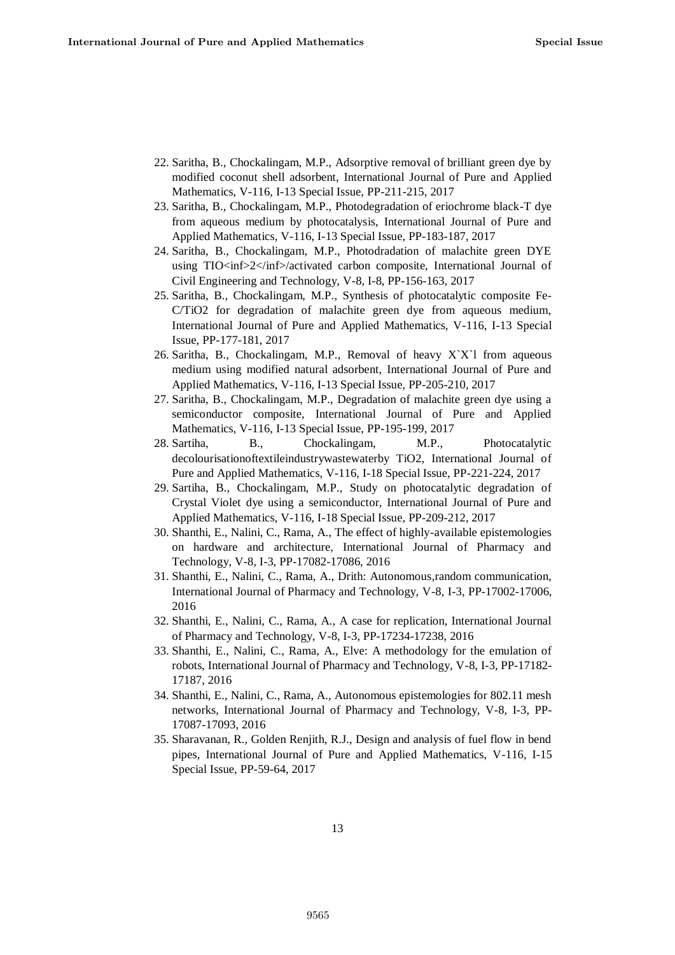- 22. Saritha, B., Chockalingam, M.P., Adsorptive removal of brilliant green dye by modified coconut shell adsorbent, International Journal of Pure and Applied Mathematics, V-116, I-13 Special Issue, PP-211-215, 2017
- 23. Saritha, B., Chockalingam, M.P., Photodegradation of eriochrome black-T dye from aqueous medium by photocatalysis, International Journal of Pure and Applied Mathematics, V-116, I-13 Special Issue, PP-183-187, 2017
- 24. Saritha, B., Chockalingam, M.P., Photodradation of malachite green DYE using TIO<inf>2</inf>/activated carbon composite, International Journal of Civil Engineering and Technology, V-8, I-8, PP-156-163, 2017
- 25. Saritha, B., Chockalingam, M.P., Synthesis of photocatalytic composite Fe-C/TiO2 for degradation of malachite green dye from aqueous medium, International Journal of Pure and Applied Mathematics, V-116, I-13 Special Issue, PP-177-181, 2017
- 26. Saritha, B., Chockalingam, M.P., Removal of heavy  $XX$ <sup>1</sup> from aqueous medium using modified natural adsorbent, International Journal of Pure and Applied Mathematics, V-116, I-13 Special Issue, PP-205-210, 2017
- 27. Saritha, B., Chockalingam, M.P., Degradation of malachite green dye using a semiconductor composite, International Journal of Pure and Applied Mathematics, V-116, I-13 Special Issue, PP-195-199, 2017
- 28. Sartiha, B., Chockalingam, M.P., Photocatalytic decolourisationoftextileindustrywastewaterby TiO2, International Journal of Pure and Applied Mathematics, V-116, I-18 Special Issue, PP-221-224, 2017
- 29. Sartiha, B., Chockalingam, M.P., Study on photocatalytic degradation of Crystal Violet dye using a semiconductor, International Journal of Pure and Applied Mathematics, V-116, I-18 Special Issue, PP-209-212, 2017
- 30. Shanthi, E., Nalini, C., Rama, A., The effect of highly-available epistemologies on hardware and architecture, International Journal of Pharmacy and Technology, V-8, I-3, PP-17082-17086, 2016
- 31. Shanthi, E., Nalini, C., Rama, A., Drith: Autonomous,random communication, International Journal of Pharmacy and Technology, V-8, I-3, PP-17002-17006, 2016
- 32. Shanthi, E., Nalini, C., Rama, A., A case for replication, International Journal of Pharmacy and Technology, V-8, I-3, PP-17234-17238, 2016
- 33. Shanthi, E., Nalini, C., Rama, A., Elve: A methodology for the emulation of robots, International Journal of Pharmacy and Technology, V-8, I-3, PP-17182- 17187, 2016
- 34. Shanthi, E., Nalini, C., Rama, A., Autonomous epistemologies for 802.11 mesh networks, International Journal of Pharmacy and Technology, V-8, I-3, PP-17087-17093, 2016
- 35. Sharavanan, R., Golden Renjith, R.J., Design and analysis of fuel flow in bend pipes, International Journal of Pure and Applied Mathematics, V-116, I-15 Special Issue, PP-59-64, 2017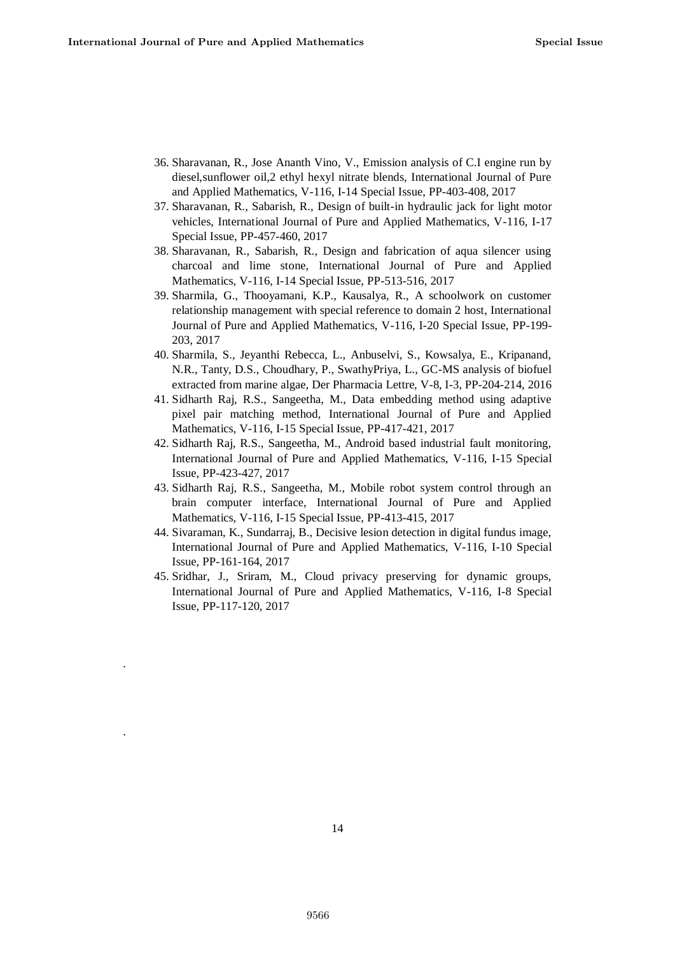.

.

- 36. Sharavanan, R., Jose Ananth Vino, V., Emission analysis of C.I engine run by diesel,sunflower oil,2 ethyl hexyl nitrate blends, International Journal of Pure and Applied Mathematics, V-116, I-14 Special Issue, PP-403-408, 2017
- 37. Sharavanan, R., Sabarish, R., Design of built-in hydraulic jack for light motor vehicles, International Journal of Pure and Applied Mathematics, V-116, I-17 Special Issue, PP-457-460, 2017
- 38. Sharavanan, R., Sabarish, R., Design and fabrication of aqua silencer using charcoal and lime stone, International Journal of Pure and Applied Mathematics, V-116, I-14 Special Issue, PP-513-516, 2017
- 39. Sharmila, G., Thooyamani, K.P., Kausalya, R., A schoolwork on customer relationship management with special reference to domain 2 host, International Journal of Pure and Applied Mathematics, V-116, I-20 Special Issue, PP-199- 203, 2017
- 40. Sharmila, S., Jeyanthi Rebecca, L., Anbuselvi, S., Kowsalya, E., Kripanand, N.R., Tanty, D.S., Choudhary, P., SwathyPriya, L., GC-MS analysis of biofuel extracted from marine algae, Der Pharmacia Lettre, V-8, I-3, PP-204-214, 2016
- 41. Sidharth Raj, R.S., Sangeetha, M., Data embedding method using adaptive pixel pair matching method, International Journal of Pure and Applied Mathematics, V-116, I-15 Special Issue, PP-417-421, 2017
- 42. Sidharth Raj, R.S., Sangeetha, M., Android based industrial fault monitoring, International Journal of Pure and Applied Mathematics, V-116, I-15 Special Issue, PP-423-427, 2017
- 43. Sidharth Raj, R.S., Sangeetha, M., Mobile robot system control through an brain computer interface, International Journal of Pure and Applied Mathematics, V-116, I-15 Special Issue, PP-413-415, 2017
- 44. Sivaraman, K., Sundarraj, B., Decisive lesion detection in digital fundus image, International Journal of Pure and Applied Mathematics, V-116, I-10 Special Issue, PP-161-164, 2017
- 45. Sridhar, J., Sriram, M., Cloud privacy preserving for dynamic groups, International Journal of Pure and Applied Mathematics, V-116, I-8 Special Issue, PP-117-120, 2017

14